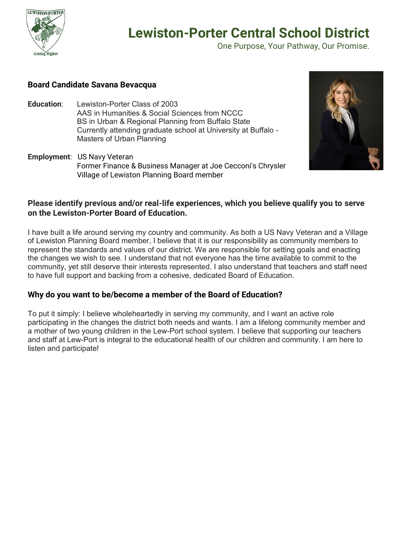

One Purpose, Your Pathway, Our Promise.

### **Board Candidate Savana Bevacqua**

- **Education**: Lewiston-Porter Class of 2003 AAS in Humanities & Social Sciences from NCCC BS in Urban & Regional Planning from Buffalo State Currently attending graduate school at University at Buffalo - Masters of Urban Planning
- **Employment**: US Navy Veteran Former Finance & Business Manager at Joe Cecconi's Chrysler Village of Lewiston Planning Board member



### **Please identify previous and/or real-life experiences, which you believe qualify you to serve on the Lewiston-Porter Board of Education.**

I have built a life around serving my country and community. As both a US Navy Veteran and a Village of Lewiston Planning Board member, I believe that it is our responsibility as community members to represent the standards and values of our district. We are responsible for setting goals and enacting the changes we wish to see. I understand that not everyone has the time available to commit to the community, yet still deserve their interests represented. I also understand that teachers and staff need to have full support and backing from a cohesive, dedicated Board of Education.

### **Why do you want to be/become a member of the Board of Education?**

To put it simply: I believe wholeheartedly in serving my community, and I want an active role participating in the changes the district both needs and wants. I am a lifelong community member and a mother of two young children in the Lew-Port school system. I believe that supporting our teachers and staff at Lew-Port is integral to the educational health of our children and community. I am here to listen and participate!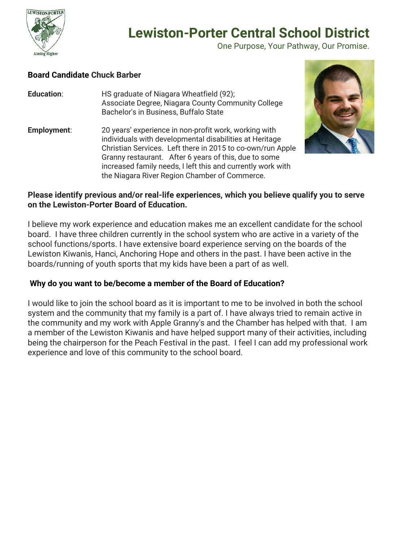

One Purpose, Your Pathway, Our Promise.

### **Board Candidate Chuck Barber**

- **Education**: HS graduate of Niagara Wheatfield (92); Associate Degree, Niagara County Community College Bachelor's in Business, Buffalo State
- **Employment:** 20 years' experience in non-profit work, working with individuals with developmental disabilities at Heritage Christian Services. Left there in 2015 to co-own/run Apple Granny restaurant. After 6 years of this, due to some increased family needs, I left this and currently work with the Niagara River Region Chamber of Commerce.



### **Please identify previous and/or real-life experiences, which you believe qualify you to serve on the Lewiston-Porter Board of Education.**

I believe my work experience and education makes me an excellent candidate for the school board. I have three children currently in the school system who are active in a variety of the school functions/sports. I have extensive board experience serving on the boards of the Lewiston Kiwanis, Hanci, Anchoring Hope and others in the past. I have been active in the boards/running of youth sports that my kids have been a part of as well.

## **Why do you want to be/become a member of the Board of Education?**

I would like to join the school board as it is important to me to be involved in both the school system and the community that my family is a part of. I have always tried to remain active in the community and my work with Apple Granny's and the Chamber has helped with that. I am a member of the Lewiston Kiwanis and have helped support many of their activities, including being the chairperson for the Peach Festival in the past. I feel I can add my professional work experience and love of this community to the school board.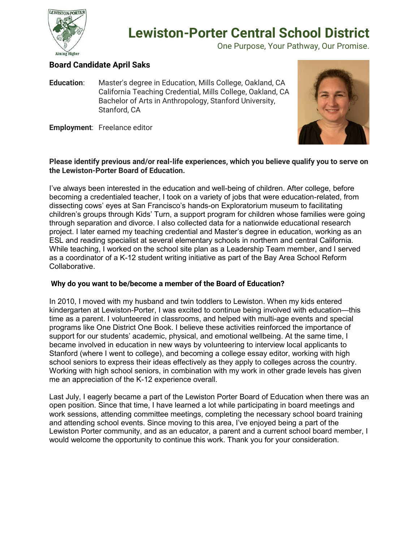

One Purpose, Your Pathway, Our Promise.

## **Board Candidate April Saks**

**Education**: Master's degree in Education, Mills College, Oakland, CA California Teaching Credential, Mills College, Oakland, CA Bachelor of Arts in Anthropology, Stanford University, Stanford, CA

**Employment**: Freelance editor



#### **Please identify previous and/or real-life experiences, which you believe qualify you to serve on the Lewiston-Porter Board of Education.**

I've always been interested in the education and well-being of children. After college, before becoming a credentialed teacher, I took on a variety of jobs that were education-related, from dissecting cows' eyes at San Francisco's hands-on Exploratorium museum to facilitating children's groups through Kids' Turn, a support program for children whose families were going through separation and divorce. I also collected data for a nationwide educational research project. I later earned my teaching credential and Master's degree in education, working as an ESL and reading specialist at several elementary schools in northern and central California. While teaching, I worked on the school site plan as a Leadership Team member, and I served as a coordinator of a K-12 student writing initiative as part of the Bay Area School Reform Collaborative.

#### **Why do you want to be/become a member of the Board of Education?**

In 2010, I moved with my husband and twin toddlers to Lewiston. When my kids entered kindergarten at Lewiston-Porter, I was excited to continue being involved with education—this time as a parent. I volunteered in classrooms, and helped with multi-age events and special programs like One District One Book. I believe these activities reinforced the importance of support for our students' academic, physical, and emotional wellbeing. At the same time, I became involved in education in new ways by volunteering to interview local applicants to Stanford (where I went to college), and becoming a college essay editor, working with high school seniors to express their ideas effectively as they apply to colleges across the country. Working with high school seniors, in combination with my work in other grade levels has given me an appreciation of the K-12 experience overall.

Last July, I eagerly became a part of the Lewiston Porter Board of Education when there was an open position. Since that time, I have learned a lot while participating in board meetings and work sessions, attending committee meetings, completing the necessary school board training and attending school events. Since moving to this area, I've enjoyed being a part of the Lewiston Porter community, and as an educator, a parent and a current school board member, I would welcome the opportunity to continue this work. Thank you for your consideration.